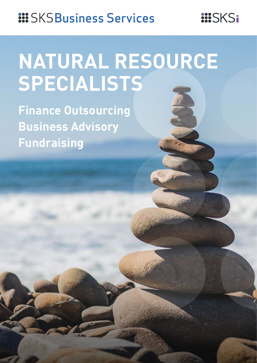# **::: SKSBusiness Services**

# **NATURAL RESOURCE SPECIALISTS**

**...**SKSi

**Finance Outsourcing Business Advisory Fundraising**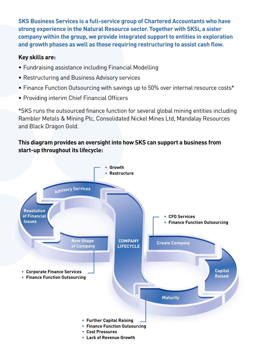**SKS Business Services is a full-service group of Chartered Accountants who have strong experience in the Natural Resource sector. Together with SKSi, a sister company within the group, we provide integrated support to entities in exploration and growth phases as well as those requiring restructuring to assist cash flow.**

## **Key skills are:**

- Fundraising assistance including Financial Modelling
- • Restructuring and Business Advisory services
- Finance Function Outsourcing with savings up to 50% over internal resource costs\*
- Providing interim Chief Financial Officers

\*SKS runs the outsourced finance function for several global mining entities including Rambler Metals & Mining Plc, Consolidated Nickel Mines Ltd, Mandalay Resources and Black Dragon Gold.

# **This diagram provides an oversight into how SKS can support a business from start-up throughout its lifecycle:**

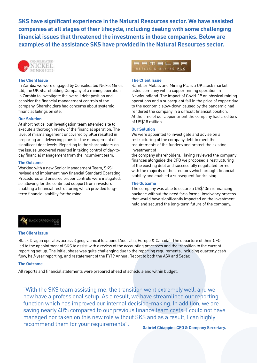**SKS have significant experience in the Natural Resources sector. We have assisted companies at all stages of their lifecycle, including dealing with some challenging financial issues that threatened the investments in those companies. Below are examples of the assistance SKS have provided in the Natural Resources sector.**



#### **The Client Issue**

In Zambia we were engaged by Consolidated Nickel Mines Ltd, the UK Shareholding Company of a mining operation in Zambia to investigate the overall debt position and consider the financial management controls of the company. Shareholders had concerns about systemic financial failings on site.

#### **Our Solution**

At short notice, our investigation team attended site to execute a thorough review of the financial operation. The level of mismanagement uncovered by SKSi resulted in preparing and delivering plans for the management of significant debt levels. Reporting to the shareholders on the issues uncovered resulted in taking control of day-today financial management from the incumbent team.

#### **The Outcome**

Working with a new Senior Management Team, SKSi revised and implement new financial Standard Operating Procedures and ensured proper controls were instigated, so allowing for the continued support from investors enabling a financial restructuring which provided longterm financial stability for the mine.

### RAMBLER METALS & MINING PLC

#### **The Client Issue**

Rambler Metals and Mining Plc is a UK stock market listed company with a copper mining operation in Newfoundland. The impact of Covid-19 on physical mining operations and a subsequent fall in the price of copper due to the economic slow-down caused by the pandemic had rendered the company in a difficult financial position. At the time of our appointment the company had creditors of US\$18 million.

#### **Our Solution**

We were appointed to investigate and advise on a restructuring of the company debt to meet the requirements of the funders and protect the existing investment of

the company shareholders. Having reviewed the company finances alongside the CFO we proposed a restructuring of the existing debt and successfully negotiated terms with the majority of the creditors which brought financial stability and enabled a subsequent fundraising.

#### **The Outcome**

The company was able to secure a US\$13m refinancing package without the need for a formal insolvency process that would have significantly impacted on the investment held and secured the long-term future of the company.



#### **The Client Issue**

Black Dragon operates across 3 geographical locations (Australia, Europe & Canada). The departure of their CFO led to the appointment of SKS to assist with a review of the accounting processes and the transition to the current reporting set up. The initial phase was quite challenging due to the reporting requirements, including quarterly cash flow, half-year reporting, and restatement of the FY19 Annual Report to both the ASX and Sedar.

#### **The Outcome**

All reports and financial statements were prepared ahead of schedule and within budget.

"With the SKS team assisting me, the transition went extremely well, and we now have a professional setup. As a result, we have streamlined our reporting function which has improved our internal decision-making. In addition, we are saving nearly 40% compared to our previous finance team costs. I could not have managed nor taken on this new role without SKS and as a result, I can highly recommend them for your requirements". **Gabriel Chiappini, CFO & Company Secretary.**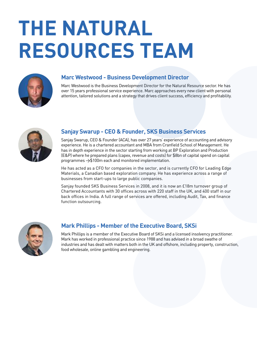# **THE NATURAL RESOURCES TEAM**



### **Marc Westwood - Business Development Director**

Marc Westwood is the Business Development Director for the Natural Resource sector. He has over 15 years professional service experience. Marc approaches every new client with personal attention, tailored solutions and a strategy that drives client success, efficiency and profitability.



## **Sanjay Swarup - CEO & Founder, SKS Business Services**

Sanjay Swarup, CEO & Founder (ACA), has over 27 years' experience of accounting and advisory experience. He is a chartered accountant and MBA from Cranfield School of Management. He has in depth experience in the sector starting from working at BP Exploration and Production (E&P) where he prepared plans (capex, revenue and costs) for \$8bn of capital spend on capital programmes >\$100m each and monitored implementation.

He has acted as a CFO for companies in the sector, and is currently CFO for Leading Edge Materials, a Canadian based exploration company. He has experience across a range of businesses from start-ups to large public companies.

Sanjay founded SKS Business Services in 2008, and it is now an £18m turnover group of Chartered Accountants with 30 offices across with 220 staff in the UK, and 400 staff in our back offices in India. A full range of services are offered, including Audit, Tax, and finance function outsourcing.



## **Mark Phillips - Member of the Executive Board, SKSi**

Mark Phillips is a member of the Executive Board of SKSi and a licensed insolvency practitioner. Mark has worked in professional practice since 1988 and has advised in a broad swathe of industries and has dealt with matters both in the UK and offshore, including property, construction, food wholesale, online gambling and engineering.